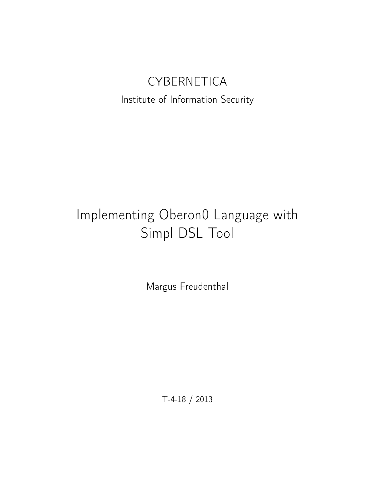# **CYBERNETICA**

## Institute of Information Security

# Implementing Oberon0 Language with Simpl DSL Tool

Margus Freudenthal

T-4-18 / 2013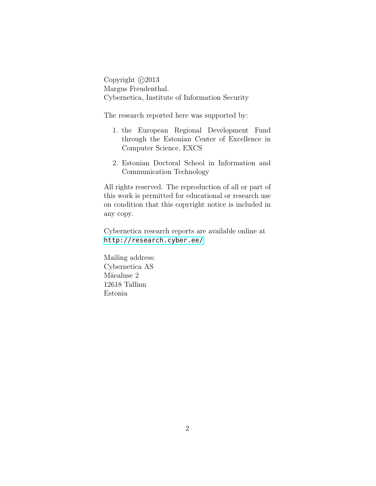Copyright  $\odot$ 2013 Margus Freudenthal. Cybernetica, Institute of Information Security

The research reported here was supported by:

- 1. the European Regional Development Fund through the Estonian Center of Excellence in Computer Science, EXCS
- 2. Estonian Doctoral School in Information and Communication Technology

All rights reserved. The reproduction of all or part of this work is permitted for educational or research use on condition that this copyright notice is included in any copy.

Cybernetica research reports are available online at <http://research.cyber.ee/>

Mailing address: Cybernetica AS Mäealuse 2 12618 Tallinn Estonia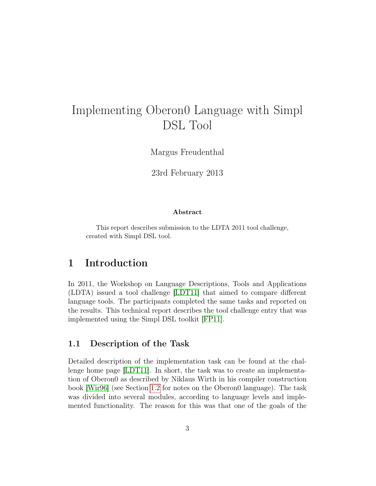# Implementing Oberon0 Language with Simpl DSL Tool

Margus Freudenthal

23rd February 2013

#### Abstract

This report describes submission to the LDTA 2011 tool challenge, created with Simpl DSL tool.

#### 1 Introduction

In 2011, the Workshop on Language Descriptions, Tools and Applications (LDTA) issued a tool challenge [\[LDT11\]](#page-17-0) that aimed to compare different language tools. The participants completed the same tasks and reported on the results. This technical report describes the tool challenge entry that was implemented using the Simpl DSL toolkit [\[FP11\]](#page-17-1).

#### 1.1 Description of the Task

Detailed description of the implementation task can be found at the challenge home page [\[LDT11\]](#page-17-0). In short, the task was to create an implementation of Oberon0 as described by Niklaus Wirth in his compiler construction book [\[Wir96\]](#page-17-2) (see Section [1.2](#page-3-0) for notes on the Oberon0 language). The task was divided into several modules, according to language levels and implemented functionality. The reason for this was that one of the goals of the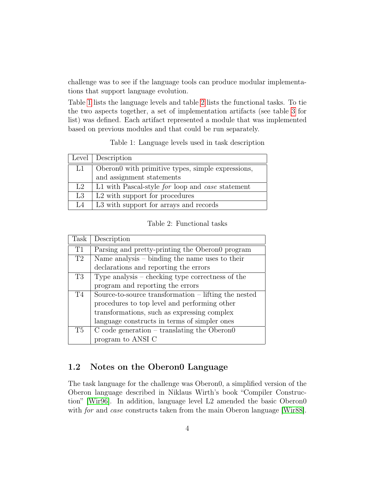challenge was to see if the language tools can produce modular implementations that support language evolution.

Table [1](#page-3-1) lists the language levels and table [2](#page-3-2) lists the functional tasks. To tie the two aspects together, a set of implementation artifacts (see table [3](#page-4-0) for list) was defined. Each artifact represented a module that was implemented based on previous modules and that could be run separately.

Table 1: Language levels used in task description

<span id="page-3-1"></span>

|    | Level   Description                               |  |  |  |  |
|----|---------------------------------------------------|--|--|--|--|
| L1 | Oberono with primitive types, simple expressions, |  |  |  |  |
|    | and assignment statements                         |  |  |  |  |
| L2 | L1 with Pascal-style for loop and case statement  |  |  |  |  |
| L3 | L <sub>2</sub> with support for procedures        |  |  |  |  |
| L4 | L3 with support for arrays and records            |  |  |  |  |

Table 2: Functional tasks

<span id="page-3-2"></span>

| Task | Description                                            |  |  |  |
|------|--------------------------------------------------------|--|--|--|
| T1   | Parsing and pretty-printing the Oberon program         |  |  |  |
| T2   | Name analysis $-$ binding the name uses to their       |  |  |  |
|      | declarations and reporting the errors                  |  |  |  |
| T3   | Type analysis – checking type correctness of the       |  |  |  |
|      | program and reporting the errors                       |  |  |  |
| T4   | Source-to-source transformation $-$ lifting the nested |  |  |  |
|      | procedures to top level and performing other           |  |  |  |
|      | transformations, such as expressing complex            |  |  |  |
|      | language constructs in terms of simpler ones           |  |  |  |
| T5   | $C$ code generation – translating the Oberon $0$       |  |  |  |
|      | program to ANSI C                                      |  |  |  |

#### <span id="page-3-0"></span>1.2 Notes on the Oberon0 Language

The task language for the challenge was Oberon0, a simplified version of the Oberon language described in Niklaus Wirth's book "Compiler Construction" [\[Wir96\]](#page-17-2). In addition, language level L2 amended the basic Oberon0 with *for* and *case* constructs taken from the main Oberon language [\[Wir88\]](#page-17-3).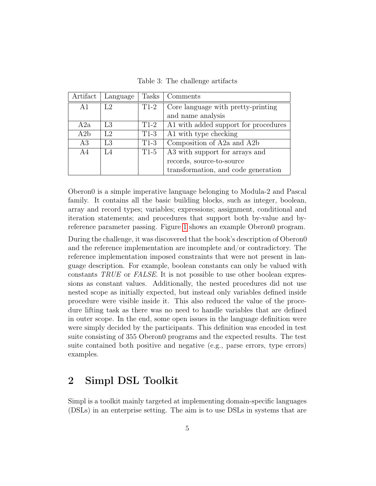Table 3: The challenge artifacts

<span id="page-4-0"></span>

| Artifact | Language | Tasks  | Comments                             |
|----------|----------|--------|--------------------------------------|
| A1       | L2       | $T1-2$ | Core language with pretty-printing   |
|          |          |        | and name analysis                    |
| A2a      | L3       | $T1-2$ | A1 with added support for procedures |
| A2b      | L2       | $T1-3$ | A1 with type checking                |
| A3       | L3       | $T1-3$ | Composition of A2a and A2b           |
| A4       | - 4      | $T1-5$ | A3 with support for arrays and       |
|          |          |        | records, source-to-source            |
|          |          |        | transformation, and code generation  |

Oberon0 is a simple imperative language belonging to Modula-2 and Pascal family. It contains all the basic building blocks, such as integer, boolean, array and record types; variables; expressions; assignment, conditional and iteration statements; and procedures that support both by-value and byreference parameter passing. Figure [1](#page-5-0) shows an example Oberon0 program.

During the challenge, it was discovered that the book's description of Oberon0 and the reference implementation are incomplete and/or contradictory. The reference implementation imposed constraints that were not present in language description. For example, boolean constants can only be valued with constants TRUE or FALSE. It is not possible to use other boolean expressions as constant values. Additionally, the nested procedures did not use nested scope as initially expected, but instead only variables defined inside procedure were visible inside it. This also reduced the value of the procedure lifting task as there was no need to handle variables that are defined in outer scope. In the end, some open issues in the language definition were were simply decided by the participants. This definition was encoded in test suite consisting of 355 Oberon0 programs and the expected results. The test suite contained both positive and negative (e.g., parse errors, type errors) examples.

## 2 Simpl DSL Toolkit

Simpl is a toolkit mainly targeted at implementing domain-specific languages (DSLs) in an enterprise setting. The aim is to use DSLs in systems that are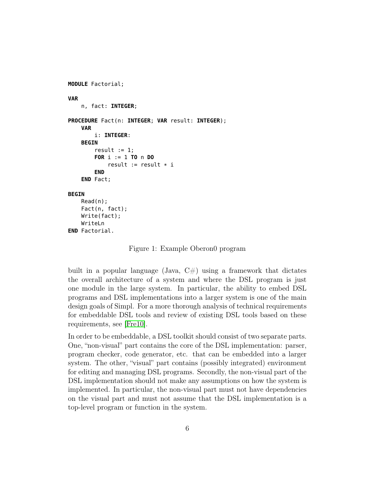```
MODULE Factorial;
VAR
    n, fact: INTEGER;
PROCEDURE Fact(n: INTEGER; VAR result: INTEGER);
    VAR
        i: INTEGER:
    BEGIN
        result := 1;FOR i := 1 TO n DO
            result := result * iEND
    END Fact;
BEGIN
    Read(n);
    Fact(n, fact);
    Write(fact);
    WriteLn
END Factorial.
```
Figure 1: Example Oberon0 program

built in a popular language (Java,  $C\#$ ) using a framework that dictates the overall architecture of a system and where the DSL program is just one module in the large system. In particular, the ability to embed DSL programs and DSL implementations into a larger system is one of the main design goals of Simpl. For a more thorough analysis of technical requirements for embeddable DSL tools and review of existing DSL tools based on these requirements, see [\[Fre10\]](#page-17-4).

In order to be embeddable, a DSL toolkit should consist of two separate parts. One, "non-visual" part contains the core of the DSL implementation: parser, program checker, code generator, etc. that can be embedded into a larger system. The other, "visual" part contains (possibly integrated) environment for editing and managing DSL programs. Secondly, the non-visual part of the DSL implementation should not make any assumptions on how the system is implemented. In particular, the non-visual part must not have dependencies on the visual part and must not assume that the DSL implementation is a top-level program or function in the system.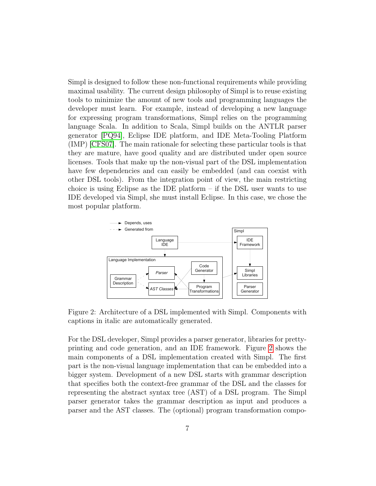Simpl is designed to follow these non-functional requirements while providing maximal usability. The current design philosophy of Simpl is to reuse existing tools to minimize the amount of new tools and programming languages the developer must learn. For example, instead of developing a new language for expressing program transformations, Simpl relies on the programming language Scala. In addition to Scala, Simpl builds on the ANTLR parser generator [\[PQ94\]](#page-17-5), Eclipse IDE platform, and IDE Meta-Tooling Platform (IMP) [\[CFS07\]](#page-17-6). The main rationale for selecting these particular tools is that they are mature, have good quality and are distributed under open source licenses. Tools that make up the non-visual part of the DSL implementation have few dependencies and can easily be embedded (and can coexist with other DSL tools). From the integration point of view, the main restricting choice is using Eclipse as the IDE platform – if the DSL user wants to use IDE developed via Simpl, she must install Eclipse. In this case, we chose the most popular platform.

<span id="page-6-0"></span>

Figure 2: Architecture of a DSL implemented with Simpl. Components with captions in italic are automatically generated.

For the DSL developer, Simpl provides a parser generator, libraries for prettyprinting and code generation, and an IDE framework. Figure [2](#page-6-0) shows the main components of a DSL implementation created with Simpl. The first part is the non-visual language implementation that can be embedded into a bigger system. Development of a new DSL starts with grammar description that specifies both the context-free grammar of the DSL and the classes for representing the abstract syntax tree (AST) of a DSL program. The Simpl parser generator takes the grammar description as input and produces a parser and the AST classes. The (optional) program transformation compo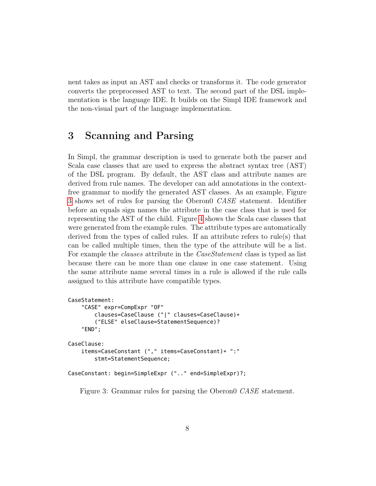nent takes as input an AST and checks or transforms it. The code generator converts the preprocessed AST to text. The second part of the DSL implementation is the language IDE. It builds on the Simpl IDE framework and the non-visual part of the language implementation.

## 3 Scanning and Parsing

In Simpl, the grammar description is used to generate both the parser and Scala case classes that are used to express the abstract syntax tree (AST) of the DSL program. By default, the AST class and attribute names are derived from rule names. The developer can add annotations in the contextfree grammar to modify the generated AST classes. As an example, Figure [3](#page-7-0) shows set of rules for parsing the Oberon0 CASE statement. Identifier before an equals sign names the attribute in the case class that is used for representing the AST of the child. Figure [4](#page-8-0) shows the Scala case classes that were generated from the example rules. The attribute types are automatically derived from the types of called rules. If an attribute refers to rule(s) that can be called multiple times, then the type of the attribute will be a list. For example the *clauses* attribute in the *CaseStatement* class is typed as list because there can be more than one clause in one case statement. Using the same attribute name several times in a rule is allowed if the rule calls assigned to this attribute have compatible types.

```
CaseStatement:
    "CASE" expr=CompExpr "OF"
        clauses=CaseClause ("|" clauses=CaseClause)*
        ("ELSE" elseClause=StatementSequence)?
    "END";
CaseClause:
    items=CaseConstant ("," items=CaseConstant)* ":"
        stmt=StatementSequence;
CaseConstant: begin=SimpleExpr (".." end=SimpleExpr)?;
```
Figure 3: Grammar rules for parsing the Oberon0 CASE statement.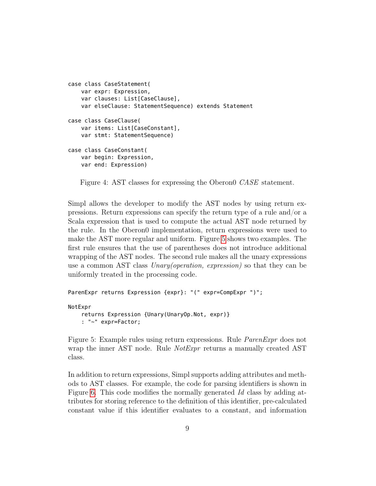```
case class CaseStatement(
    var expr: Expression,
    var clauses: List[CaseClause],
    var elseClause: StatementSequence) extends Statement
case class CaseClause(
    var items: List[CaseConstant],
    var stmt: StatementSequence)
case class CaseConstant(
    var begin: Expression,
    var end: Expression)
```
Figure 4: AST classes for expressing the Oberon0 *CASE* statement.

Simpl allows the developer to modify the AST nodes by using return expressions. Return expressions can specify the return type of a rule and/or a Scala expression that is used to compute the actual AST node returned by the rule. In the Oberon0 implementation, return expressions were used to make the AST more regular and uniform. Figure [5](#page-8-1) shows two examples. The first rule ensures that the use of parentheses does not introduce additional wrapping of the AST nodes. The second rule makes all the unary expressions use a common AST class *Unary(operation, expression)* so that they can be uniformly treated in the processing code.

```
ParenExpr returns Expression {expr}: "(" expr=CompExpr ")";
NotExpr
    returns Expression {Unary(UnaryOp.Not, expr)}
    : "~" expr=Factor;
```
Figure 5: Example rules using return expressions. Rule ParenExpr does not wrap the inner AST node. Rule *NotExpr* returns a manually created AST class.

In addition to return expressions, Simpl supports adding attributes and methods to AST classes. For example, the code for parsing identifiers is shown in Figure [6.](#page-9-0) This code modifies the normally generated Id class by adding attributes for storing reference to the definition of this identifier, pre-calculated constant value if this identifier evaluates to a constant, and information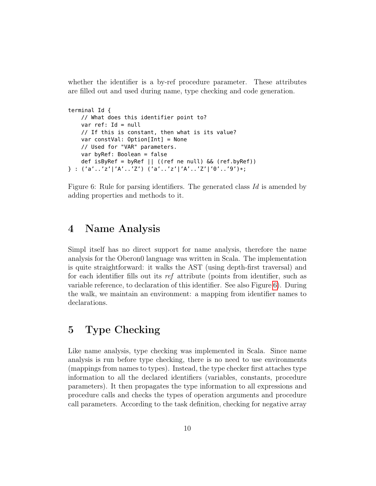whether the identifier is a by-ref procedure parameter. These attributes are filled out and used during name, type checking and code generation.

```
terminal Id {
   // What does this identifier point to?
   var ref: Id = null// If this is constant, then what is its value?
    var constVal: Option[Int] = None
    // Used for "VAR" parameters.
    var byRef: Boolean = false
    def isByRef = byRef || ((ref ne null) \& (ref.byRef))
} : ('a'..'z'|'A'..'Z') ('a'..'z'|'A'..'Z'|'0'..'9')*;
```
Figure 6: Rule for parsing identifiers. The generated class Id is amended by adding properties and methods to it.

### 4 Name Analysis

Simpl itself has no direct support for name analysis, therefore the name analysis for the Oberon0 language was written in Scala. The implementation is quite straightforward: it walks the AST (using depth-first traversal) and for each identifier fills out its ref attribute (points from identifier, such as variable reference, to declaration of this identifier. See also Figure [6\)](#page-9-0). During the walk, we maintain an environment: a mapping from identifier names to declarations.

## 5 Type Checking

Like name analysis, type checking was implemented in Scala. Since name analysis is run before type checking, there is no need to use environments (mappings from names to types). Instead, the type checker first attaches type information to all the declared identifiers (variables, constants, procedure parameters). It then propagates the type information to all expressions and procedure calls and checks the types of operation arguments and procedure call parameters. According to the task definition, checking for negative array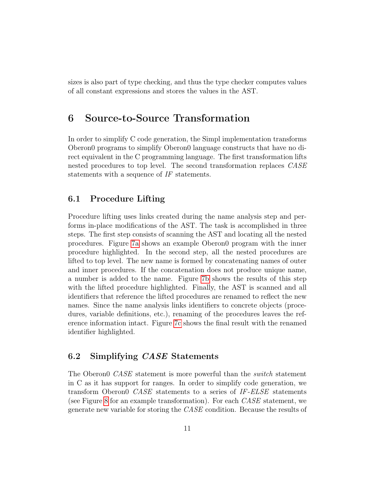sizes is also part of type checking, and thus the type checker computes values of all constant expressions and stores the values in the AST.

### 6 Source-to-Source Transformation

In order to simplify C code generation, the Simpl implementation transforms Oberon0 programs to simplify Oberon0 language constructs that have no direct equivalent in the C programming language. The first transformation lifts nested procedures to top level. The second transformation replaces CASE statements with a sequence of IF statements.

#### 6.1 Procedure Lifting

Procedure lifting uses links created during the name analysis step and performs in-place modifications of the AST. The task is accomplished in three steps. The first step consists of scanning the AST and locating all the nested procedures. Figure [7a](#page-11-0) shows an example Oberon0 program with the inner procedure highlighted. In the second step, all the nested procedures are lifted to top level. The new name is formed by concatenating names of outer and inner procedures. If the concatenation does not produce unique name, a number is added to the name. Figure [7b](#page-11-1) shows the results of this step with the lifted procedure highlighted. Finally, the AST is scanned and all identifiers that reference the lifted procedures are renamed to reflect the new names. Since the name analysis links identifiers to concrete objects (procedures, variable definitions, etc.), renaming of the procedures leaves the reference information intact. Figure [7c](#page-11-2) shows the final result with the renamed identifier highlighted.

#### 6.2 Simplifying CASE Statements

The Oberon<sub>0</sub> CASE statement is more powerful than the *switch* statement in C as it has support for ranges. In order to simplify code generation, we transform Oberon0 CASE statements to a series of IF-ELSE statements (see Figure [8](#page-11-3) for an example transformation). For each CASE statement, we generate new variable for storing the CASE condition. Because the results of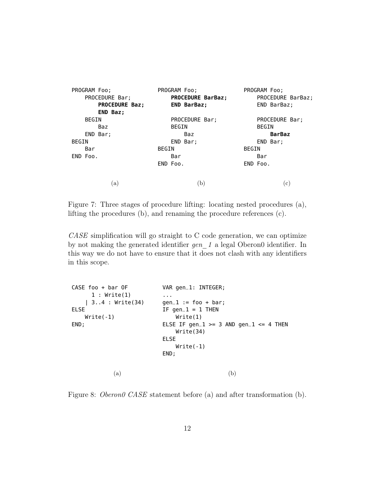| PROGRAM Foo;          | PROGRAM Foo;             | PROGRAM Foo;      |  |  |
|-----------------------|--------------------------|-------------------|--|--|
| PROCEDURE Bar;        | <b>PROCEDURE BarBaz;</b> | PROCEDURE BarBaz; |  |  |
| <b>PROCEDURE Baz;</b> | <b>END BarBaz;</b>       | END BarBaz;       |  |  |
| <b>END Baz;</b>       |                          |                   |  |  |
| BEGIN                 | PROCEDURE Bar;           | PROCEDURE Bar;    |  |  |
| Baz                   | <b>BEGIN</b>             | BEGIN             |  |  |
| END Bar;              | Baz                      | <b>BarBaz</b>     |  |  |
| BEGIN                 | END Bar;                 | END Bar;          |  |  |
| Bar                   | BEGIN                    | BEGIN             |  |  |
| END Foo.              | Bar                      | Bar               |  |  |
|                       | END Foo.                 | END Foo.          |  |  |
| (a)                   | (b)                      | $^{\rm (c)}$      |  |  |
|                       |                          |                   |  |  |

<span id="page-11-2"></span><span id="page-11-1"></span><span id="page-11-0"></span>Figure 7: Three stages of procedure lifting: locating nested procedures (a), lifting the procedures (b), and renaming the procedure references (c).

CASE simplification will go straight to C code generation, we can optimize by not making the generated identifier  $gen_1$  a legal Oberon0 identifier. In this way we do not have to ensure that it does not clash with any identifiers in this scope.

<span id="page-11-3"></span>

| $CASE$ foo + bar OF | VAR gen_1: INTEGER;                                 |
|---------------------|-----------------------------------------------------|
| 1: Write(1)         | $\cdots$                                            |
| 34 : Write(34)      | $qen_1 := foo + bar;$                               |
| <b>ELSE</b>         | IF gen_1 = 1 THEN                                   |
| $Write(-1)$         | Write(1)                                            |
| END;                | ELSE IF gen_1 >= 3 AND gen_1 <= 4 THEN<br>Write(34) |
|                     | <b>ELSE</b>                                         |
|                     | $Write(-1)$                                         |
|                     | END;                                                |
| a                   | <sub>b</sub>                                        |

Figure 8: *Oberon0 CASE* statement before (a) and after transformation (b).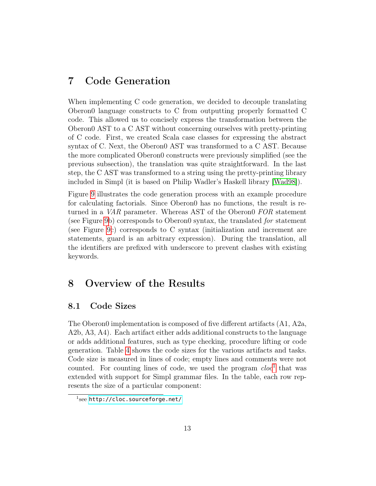## 7 Code Generation

When implementing C code generation, we decided to decouple translating Oberon0 language constructs to C from outputting properly formatted C code. This allowed us to concisely express the transformation between the Oberon0 AST to a C AST without concerning ourselves with pretty-printing of C code. First, we created Scala case classes for expressing the abstract syntax of C. Next, the Oberon0 AST was transformed to a C AST. Because the more complicated Oberon0 constructs were previously simplified (see the previous subsection), the translation was quite straightforward. In the last step, the C AST was transformed to a string using the pretty-printing library included in Simpl (it is based on Philip Wadler's Haskell library [\[Wad98\]](#page-17-7)).

Figure [9](#page-13-0) illustrates the code generation process with an example procedure for calculating factorials. Since Oberon0 has no functions, the result is returned in a *VAR* parameter. Whereas AST of the Oberon0 FOR statement (see Figure [9b](#page-13-0)) corresponds to Oberon0 syntax, the translated for statement (see Figure [9c](#page-13-0)) corresponds to C syntax (initialization and increment are statements, guard is an arbitrary expression). During the translation, all the identifiers are prefixed with underscore to prevent clashes with existing keywords.

## 8 Overview of the Results

#### 8.1 Code Sizes

The Oberon0 implementation is composed of five different artifacts (A1, A2a, A2b, A3, A4). Each artifact either adds additional constructs to the language or adds additional features, such as type checking, procedure lifting or code generation. Table [4](#page-14-0) shows the code sizes for the various artifacts and tasks. Code size is measured in lines of code; empty lines and comments were not counted. For counting lines of code, we used the program  $cloc<sup>1</sup>$  $cloc<sup>1</sup>$  $cloc<sup>1</sup>$  that was extended with support for Simpl grammar files. In the table, each row represents the size of a particular component:

<span id="page-12-0"></span> $^1$ see <http://cloc.sourceforge.net/>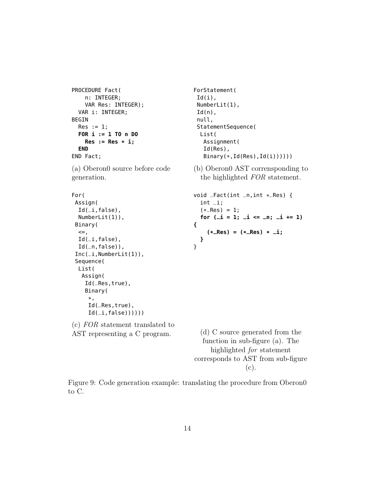```
PROCEDURE Fact(
    n: INTEGER;
    VAR Res: INTEGER);
 VAR i: INTEGER;
BEGIN
 Res := 1;FOR i := 1 TO n DO
   Res := Res * i;END
END Fact;
```
(a) Oberon0 source before code generation.

```
For(
 Assign(
  Id(<sub>-</sub>i,false),
  NumberLit(1)),
 Binary(
  \leqId(<sub>-</sub>i,false),
  Id(<sub>n</sub>,false)),
 Inc(\_i,NumberLit(1)),
 Sequence(
  List(
   Assign(
    Id(_Res,true),
    Binary(
      *,
      Id(_Res,true),
      Id(\_i, false))))))
```
(c) FOR statement translated to AST representing a C program.

ForStatement(  $Id(i)$ , NumberLit(1),  $Id(n)$ , null, StatementSequence( List( Assignment( Id(Res), Binary(\*,Id(Res),Id(i))))))

(b) Oberon0 AST corrensponding to the highlighted FOR statement.

```
void _Fact(int _n,int *
_Res) {
  int _i;
  (*
_Res) = 1;
  for (_i = 1; _i <= _n; _i += 1)
{
    (*
_Res) = (*
_Res) *
_i;
 }
}
```
(d) C source generated from the function in sub-figure (a). The highlighted for statement corresponds to AST from sub-figure (c).

Figure 9: Code generation example: translating the procedure from Oberon0 to C.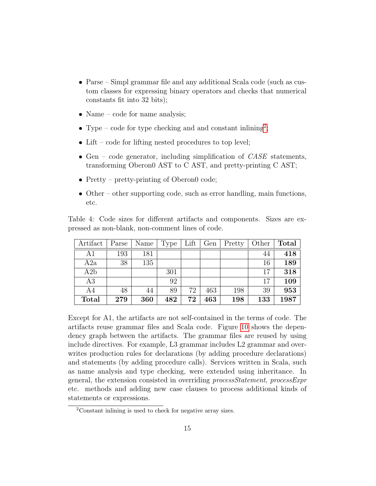- Parse Simpl grammar file and any additional Scala code (such as custom classes for expressing binary operators and checks that numerical constants fit into 32 bits);
- Name code for name analysis;
- Type code for type checking and and constant inlining<sup>[2](#page-14-1)</sup>;
- Lift code for lifting nested procedures to top level;
- Gen code generator, including simplification of  $CASE$  statements, transforming Oberon0 AST to C AST, and pretty-printing C AST;
- Pretty pretty-printing of Oberon0 code;
- Other other supporting code, such as error handling, main functions, etc.

<span id="page-14-0"></span>Table 4: Code sizes for different artifacts and components. Sizes are expressed as non-blank, non-comment lines of code.

| Artifact     | Parse | Name | Type | Lift | Gen | Pretty | Other | <b>Total</b> |
|--------------|-------|------|------|------|-----|--------|-------|--------------|
| A1           | 193   | 181  |      |      |     |        | 44    | 418          |
| A2a          | 38    | 135  |      |      |     |        | 16    | 189          |
| A2b          |       |      | 301  |      |     |        | 17    | 318          |
| A3           |       |      | 92   |      |     |        | 17    | 109          |
| A4           | 48    | 44   | 89   | 72   | 463 | 198    | 39    | 953          |
| <b>Total</b> | 279   | 360  | 482  | 72   | 463 | 198    | 133   | 1987         |

Except for A1, the artifacts are not self-contained in the terms of code. The artifacts reuse grammar files and Scala code. Figure [10](#page-15-0) shows the dependency graph between the artifacts. The grammar files are reused by using include directives. For example, L3 grammar includes L2 grammar and overwrites production rules for declarations (by adding procedure declarations) and statements (by adding procedure calls). Services written in Scala, such as name analysis and type checking, were extended using inheritance. In general, the extension consisted in overriding processStatement, processExpr etc. methods and adding new case clauses to process additional kinds of statements or expressions.

<span id="page-14-1"></span><sup>2</sup>Constant inlining is used to check for negative array sizes.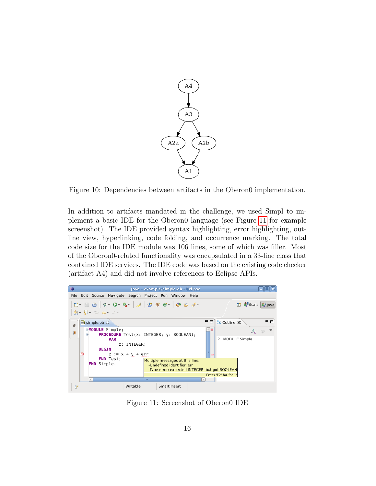<span id="page-15-0"></span>

Figure 10: Dependencies between artifacts in the Oberon0 implementation.

In addition to artifacts mandated in the challenge, we used Simpl to implement a basic IDE for the Oberon0 language (see Figure [11](#page-15-1) for example screenshot). The IDE provided syntax highlighting, error highlighting, outline view, hyperlinking, code folding, and occurrence marking. The total code size for the IDE module was 106 lines, some of which was filler. Most of the Oberon0-related functionality was encapsulated in a 33-line class that contained IDE services. The IDE code was based on the existing code checker (artifact A4) and did not involve references to Eclipse APIs.

<span id="page-15-1"></span>

Figure 11: Screenshot of Oberon0 IDE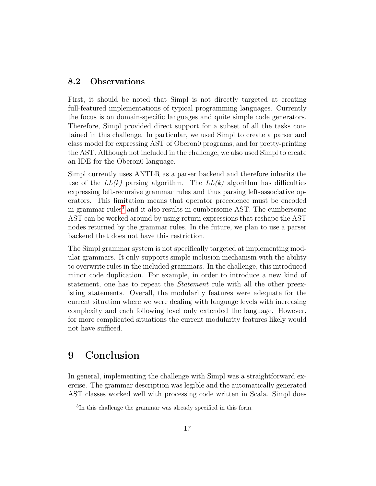#### 8.2 Observations

First, it should be noted that Simpl is not directly targeted at creating full-featured implementations of typical programming languages. Currently the focus is on domain-specific languages and quite simple code generators. Therefore, Simpl provided direct support for a subset of all the tasks contained in this challenge. In particular, we used Simpl to create a parser and class model for expressing AST of Oberon0 programs, and for pretty-printing the AST. Although not included in the challenge, we also used Simpl to create an IDE for the Oberon0 language.

Simpl currently uses ANTLR as a parser backend and therefore inherits the use of the  $LL(k)$  parsing algorithm. The  $LL(k)$  algorithm has difficulties expressing left-recursive grammar rules and thus parsing left-associative operators. This limitation means that operator precedence must be encoded in grammar rules<sup>[3](#page-16-0)</sup> and it also results in cumbersome AST. The cumbersome AST can be worked around by using return expressions that reshape the AST nodes returned by the grammar rules. In the future, we plan to use a parser backend that does not have this restriction.

The Simpl grammar system is not specifically targeted at implementing modular grammars. It only supports simple inclusion mechanism with the ability to overwrite rules in the included grammars. In the challenge, this introduced minor code duplication. For example, in order to introduce a new kind of statement, one has to repeat the *Statement* rule with all the other preexisting statements. Overall, the modularity features were adequate for the current situation where we were dealing with language levels with increasing complexity and each following level only extended the language. However, for more complicated situations the current modularity features likely would not have sufficed.

## 9 Conclusion

In general, implementing the challenge with Simpl was a straightforward exercise. The grammar description was legible and the automatically generated AST classes worked well with processing code written in Scala. Simpl does

<span id="page-16-0"></span><sup>&</sup>lt;sup>3</sup>In this challenge the grammar was already specified in this form.